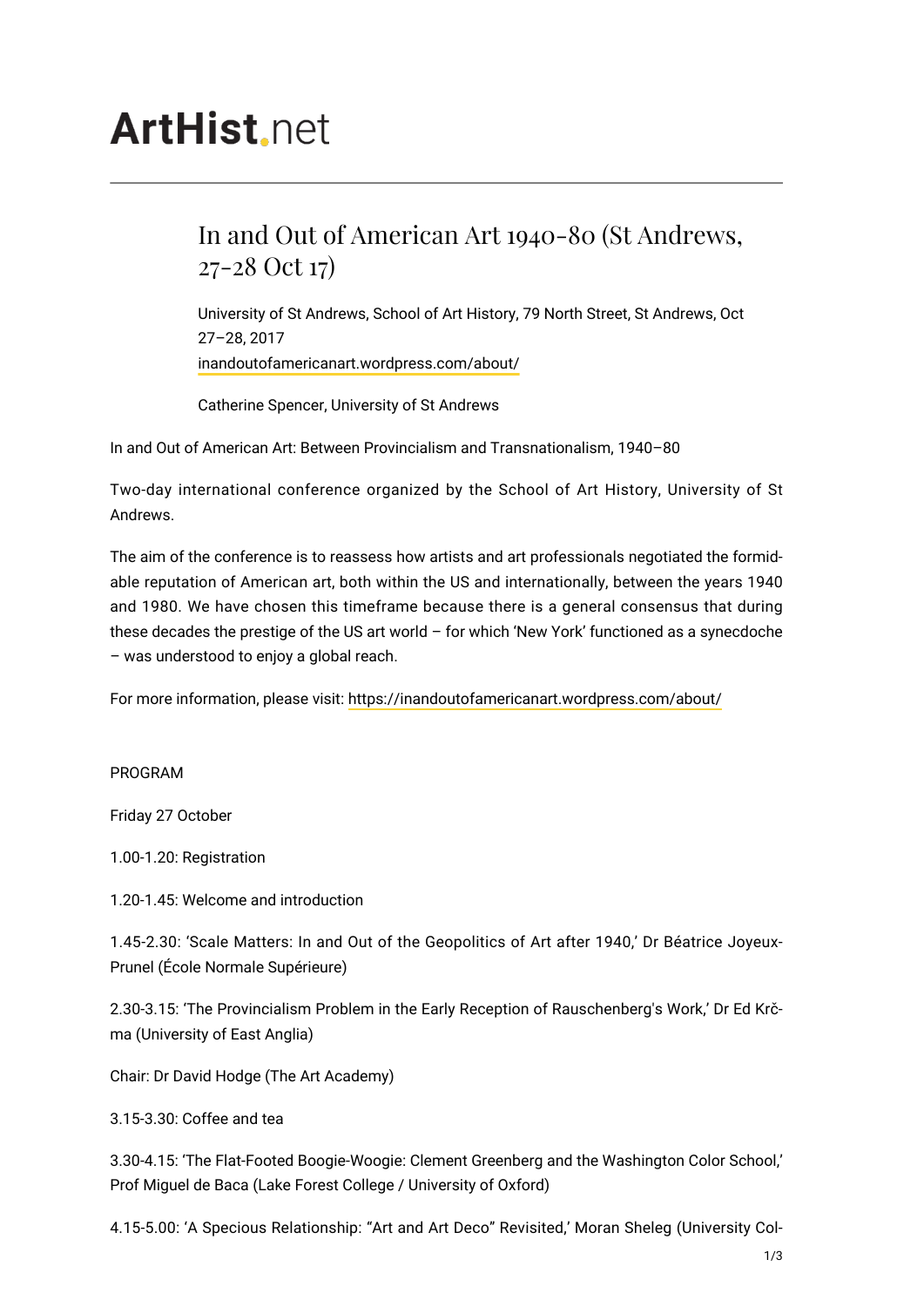## **ArtHist** net

## In and Out of American Art 1940-80 (St Andrews, 27-28 Oct 17)

University of St Andrews, School of Art History, 79 North Street, St Andrews, Oct 27–28, 2017 [inandoutofamericanart.wordpress.com/about/](https://inandoutofamericanart.wordpress.com/about/)

Catherine Spencer, University of St Andrews

In and Out of American Art: Between Provincialism and Transnationalism, 1940–80

Two-day international conference organized by the School of Art History, University of St Andrews.

The aim of the conference is to reassess how artists and art professionals negotiated the formidable reputation of American art, both within the US and internationally, between the years 1940 and 1980. We have chosen this timeframe because there is a general consensus that during these decades the prestige of the US art world – for which 'New York' functioned as a synecdoche – was understood to enjoy a global reach.

For more information, please visit:<https://inandoutofamericanart.wordpress.com/about/>

PROGRAM

Friday 27 October

1.00-1.20: Registration

1.20-1.45: Welcome and introduction

1.45-2.30: 'Scale Matters: In and Out of the Geopolitics of Art after 1940,' Dr Béatrice Joyeux-Prunel (École Normale Supérieure)

2.30-3.15: 'The Provincialism Problem in the Early Reception of Rauschenberg's Work,' Dr Ed Krčma (University of East Anglia)

Chair: Dr David Hodge (The Art Academy)

3.15-3.30: Coffee and tea

3.30-4.15: 'The Flat-Footed Boogie-Woogie: Clement Greenberg and the Washington Color School,' Prof Miguel de Baca (Lake Forest College / University of Oxford)

4.15-5.00: 'A Specious Relationship: "Art and Art Deco" Revisited,' Moran Sheleg (University Col-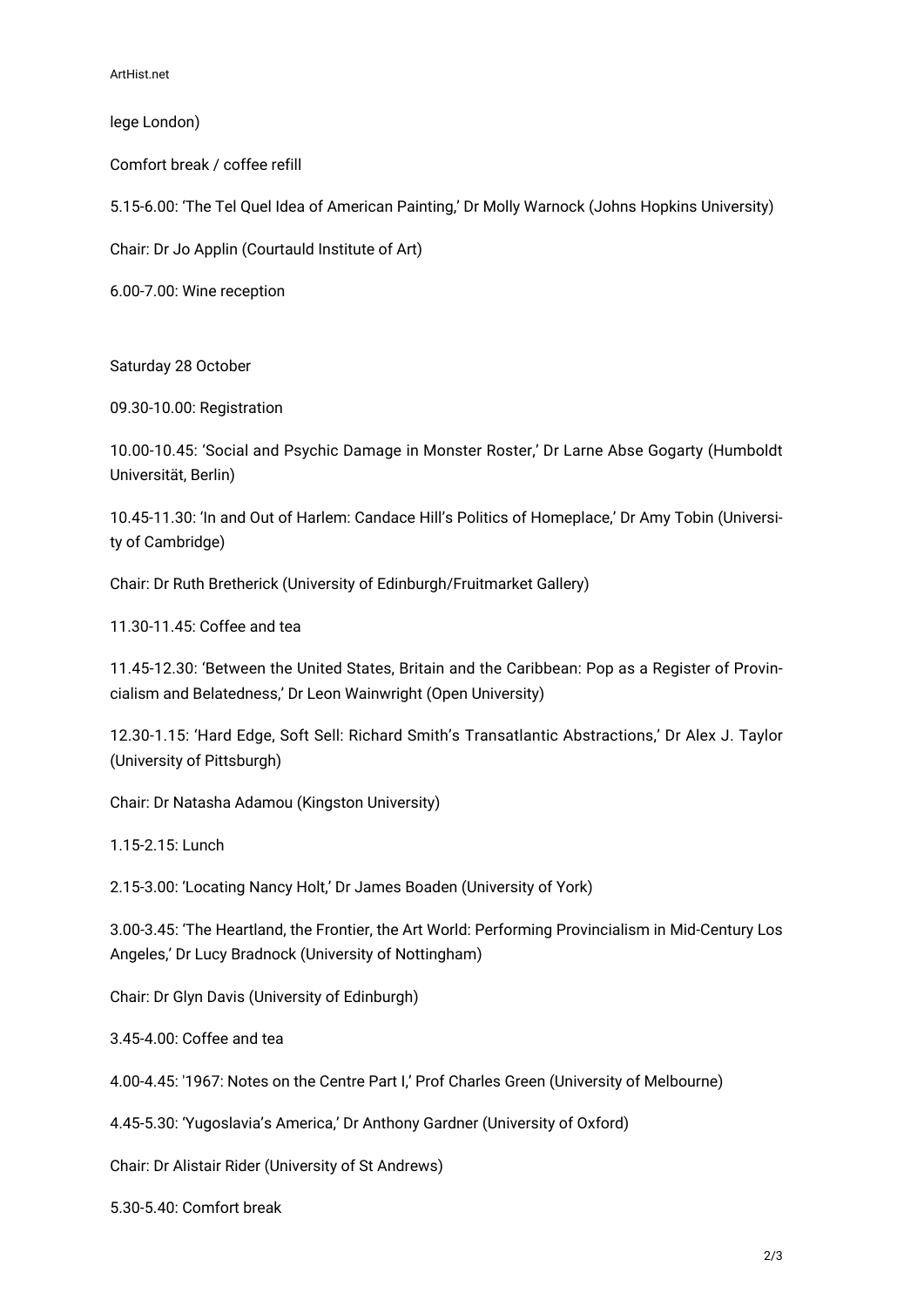ArtHist.net

lege London)

Comfort break / coffee refill

5.15-6.00: 'The Tel Quel Idea of American Painting,' Dr Molly Warnock (Johns Hopkins University)

Chair: Dr Jo Applin (Courtauld Institute of Art)

6.00-7.00: Wine reception

Saturday 28 October

09.30-10.00: Registration

10.00-10.45: 'Social and Psychic Damage in Monster Roster,' Dr Larne Abse Gogarty (Humboldt Universität, Berlin)

10.45-11.30: 'In and Out of Harlem: Candace Hill's Politics of Homeplace,' Dr Amy Tobin (University of Cambridge)

Chair: Dr Ruth Bretherick (University of Edinburgh/Fruitmarket Gallery)

11.30-11.45: Coffee and tea

11.45-12.30: 'Between the United States, Britain and the Caribbean: Pop as a Register of Provincialism and Belatedness,' Dr Leon Wainwright (Open University)

12.30-1.15: 'Hard Edge, Soft Sell: Richard Smith's Transatlantic Abstractions,' Dr Alex J. Taylor (University of Pittsburgh)

Chair: Dr Natasha Adamou (Kingston University)

1.15-2.15: Lunch

2.15-3.00: 'Locating Nancy Holt,' Dr James Boaden (University of York)

3.00-3.45: 'The Heartland, the Frontier, the Art World: Performing Provincialism in Mid-Century Los Angeles,' Dr Lucy Bradnock (University of Nottingham)

Chair: Dr Glyn Davis (University of Edinburgh)

3.45-4.00: Coffee and tea

4.00-4.45: '1967: Notes on the Centre Part I,' Prof Charles Green (University of Melbourne)

4.45-5.30: 'Yugoslavia's America,' Dr Anthony Gardner (University of Oxford)

Chair: Dr Alistair Rider (University of St Andrews)

5.30-5.40: Comfort break